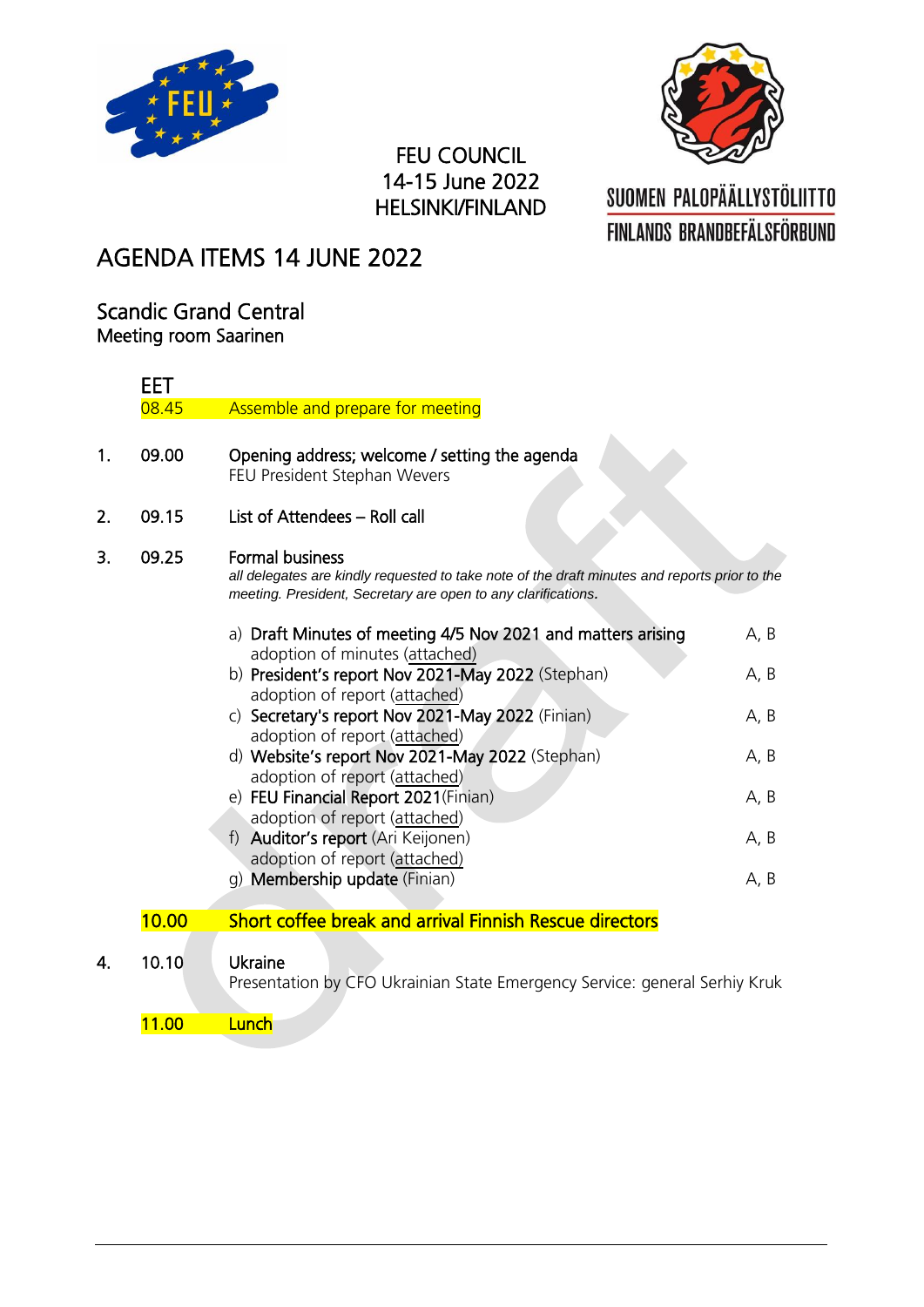



### FEU COUNCIL 14-15 June 2022 HELSINKI/FINLAND

## SUOMEN PALOPÄÄLLYSTÖLIITTO **FINLANDS BRANDBEFÄLSFÖRBUND**

### AGENDA ITEMS 14 JUNE 2022

#### Scandic Grand Central Meeting room Saarinen

|    | <b>EET</b>                                                                                                                                                                                        |                                                                                                                      |      |  |  |  |
|----|---------------------------------------------------------------------------------------------------------------------------------------------------------------------------------------------------|----------------------------------------------------------------------------------------------------------------------|------|--|--|--|
|    | 08.45                                                                                                                                                                                             | Assemble and prepare for meeting                                                                                     |      |  |  |  |
| 1. | 09.00                                                                                                                                                                                             | Opening address; welcome / setting the agenda<br>FEU President Stephan Wevers                                        |      |  |  |  |
| 2. | 09.15                                                                                                                                                                                             | List of Attendees - Roll call                                                                                        |      |  |  |  |
| 3. | <b>Formal business</b><br>09.25<br>all delegates are kindly requested to take note of the draft minutes and reports prior to the<br>meeting. President, Secretary are open to any clarifications. |                                                                                                                      |      |  |  |  |
|    |                                                                                                                                                                                                   | a) Draft Minutes of meeting 4/5 Nov 2021 and matters arising                                                         | A, B |  |  |  |
|    |                                                                                                                                                                                                   | adoption of minutes (attached)<br>b) President's report Nov 2021-May 2022 (Stephan)<br>adoption of report (attached) | A, B |  |  |  |
|    |                                                                                                                                                                                                   | c) Secretary's report Nov 2021-May 2022 (Finian)<br>adoption of report (attached)                                    | A, B |  |  |  |
|    |                                                                                                                                                                                                   | d) Website's report Nov 2021-May 2022 (Stephan)<br>adoption of report (attached)                                     | A, B |  |  |  |
|    |                                                                                                                                                                                                   | e) FEU Financial Report 2021(Finian)<br>adoption of report (attached)                                                | A, B |  |  |  |
|    |                                                                                                                                                                                                   | f) Auditor's report (Ari Keijonen)<br>adoption of report (attached)                                                  | A, B |  |  |  |
|    |                                                                                                                                                                                                   | g) Membership update (Finian)                                                                                        | A, B |  |  |  |
|    | 10.00                                                                                                                                                                                             | Short coffee break and arrival Finnish Rescue directors                                                              |      |  |  |  |
| 4. | 10.10                                                                                                                                                                                             | Ukraine<br>Presentation by CFO Ukrainian State Emergency Service: general Serhiy Kruk                                |      |  |  |  |

11.00 Lunch